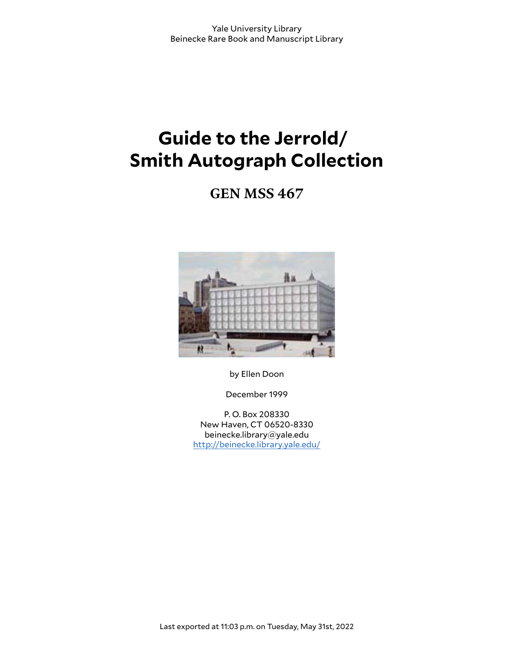# **Guide to the Jerrold/ Smith Autograph Collection**

**GEN MSS 467**



by Ellen Doon

December 1999

P. O. Box 208330 New Haven, CT 06520-8330 beinecke.library@yale.edu <http://beinecke.library.yale.edu/>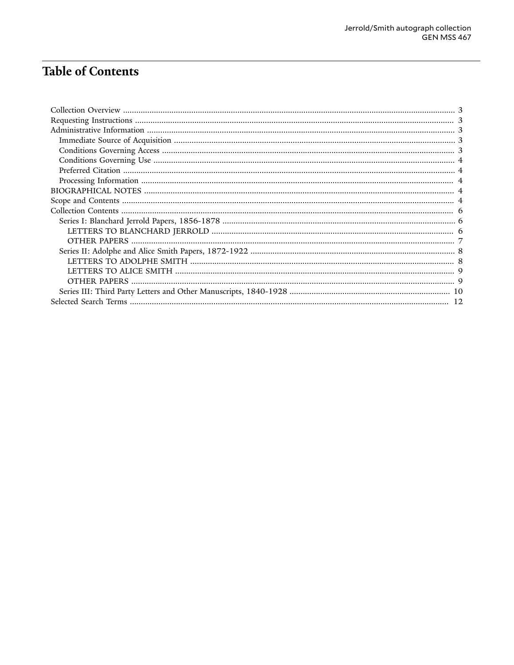# **Table of Contents**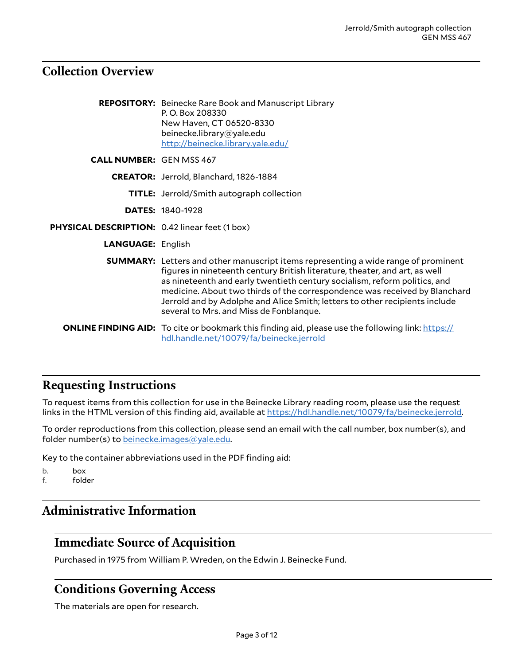### <span id="page-2-0"></span>**Collection Overview**

|                                                | <b>REPOSITORY:</b> Beinecke Rare Book and Manuscript Library<br>P.O. Box 208330<br>New Haven, CT 06520-8330<br>beinecke.library@yale.edu<br>http://beinecke.library.yale.edu/                                                                                                                                                                                                                                                                                 |
|------------------------------------------------|---------------------------------------------------------------------------------------------------------------------------------------------------------------------------------------------------------------------------------------------------------------------------------------------------------------------------------------------------------------------------------------------------------------------------------------------------------------|
| <b>CALL NUMBER: GEN MSS 467</b>                |                                                                                                                                                                                                                                                                                                                                                                                                                                                               |
|                                                | CREATOR: Jerrold, Blanchard, 1826-1884                                                                                                                                                                                                                                                                                                                                                                                                                        |
|                                                | <b>TITLE:</b> Jerrold/Smith autograph collection                                                                                                                                                                                                                                                                                                                                                                                                              |
|                                                | <b>DATES: 1840-1928</b>                                                                                                                                                                                                                                                                                                                                                                                                                                       |
| PHYSICAL DESCRIPTION: 0.42 linear feet (1 box) |                                                                                                                                                                                                                                                                                                                                                                                                                                                               |
| <b>LANGUAGE: English</b>                       |                                                                                                                                                                                                                                                                                                                                                                                                                                                               |
|                                                | <b>SUMMARY:</b> Letters and other manuscript items representing a wide range of prominent<br>figures in nineteenth century British literature, theater, and art, as well<br>as nineteenth and early twentieth century socialism, reform politics, and<br>medicine. About two thirds of the correspondence was received by Blanchard<br>Jerrold and by Adolphe and Alice Smith; letters to other recipients include<br>several to Mrs. and Miss de Fonblanque. |
|                                                | <b>ONLINE FINDING AID:</b> To cite or bookmark this finding aid, please use the following link: https://<br>hdl.handle.net/10079/fa/beinecke.jerrold                                                                                                                                                                                                                                                                                                          |

# <span id="page-2-1"></span>**Requesting Instructions**

To request items from this collection for use in the Beinecke Library reading room, please use the request links in the HTML version of this finding aid, available at <https://hdl.handle.net/10079/fa/beinecke.jerrold>.

To order reproductions from this collection, please send an email with the call number, box number(s), and folder number(s) to [beinecke.images@yale.edu.](mailto:beinecke.images@yale.edu)

Key to the container abbreviations used in the PDF finding aid:

- b. box
- f. folder

# <span id="page-2-2"></span>**Administrative Information**

### <span id="page-2-3"></span>**Immediate Source of Acquisition**

Purchased in 1975 from William P. Wreden, on the Edwin J. Beinecke Fund.

### <span id="page-2-4"></span>**Conditions Governing Access**

The materials are open for research.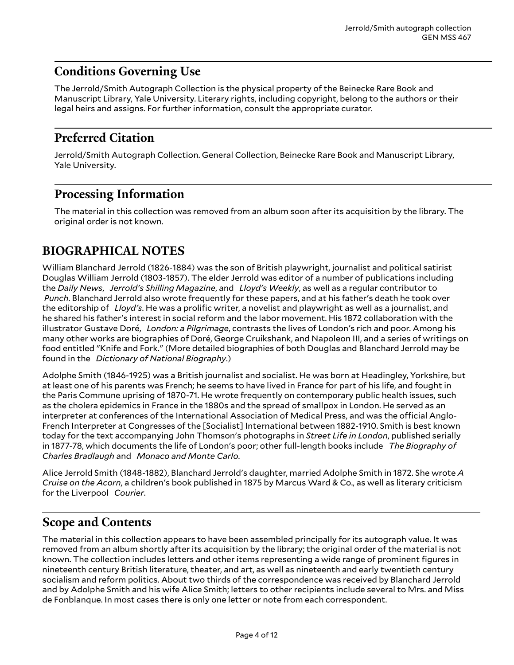# <span id="page-3-0"></span>**Conditions Governing Use**

The Jerrold/Smith Autograph Collection is the physical property of the Beinecke Rare Book and Manuscript Library, Yale University. Literary rights, including copyright, belong to the authors or their legal heirs and assigns. For further information, consult the appropriate curator.

### <span id="page-3-1"></span>**Preferred Citation**

Jerrold/Smith Autograph Collection. General Collection, Beinecke Rare Book and Manuscript Library, Yale University.

### <span id="page-3-2"></span>**Processing Information**

The material in this collection was removed from an album soon after its acquisition by the library. The original order is not known.

# <span id="page-3-3"></span>**BIOGRAPHICAL NOTES**

William Blanchard Jerrold (1826-1884) was the son of British playwright, journalist and political satirist Douglas William Jerrold (1803-1857). The elder Jerrold was editor of a number of publications including the *Daily News*, *Jerrold's Shilling Magazine*, and *Lloyd's Weekly*, as well as a regular contributor to  *Punch*. Blanchard Jerrold also wrote frequently for these papers, and at his father's death he took over the editorship of *Lloyd's*. He was a prolific writer, a novelist and playwright as well as a journalist, and he shared his father's interest in social reform and the labor movement. His 1872 collaboration with the illustrator Gustave Doré, *London: a Pilgrimage*, contrasts the lives of London's rich and poor. Among his many other works are biographies of Doré, George Cruikshank, and Napoleon III, and a series of writings on food entitled "Knife and Fork." (More detailed biographies of both Douglas and Blanchard Jerrold may be found in the *Dictionary of National Biography*.)

Adolphe Smith (1846-1925) was a British journalist and socialist. He was born at Headingley, Yorkshire, but at least one of his parents was French; he seems to have lived in France for part of his life, and fought in the Paris Commune uprising of 1870-71. He wrote frequently on contemporary public health issues, such as the cholera epidemics in France in the 1880s and the spread of smallpox in London. He served as an interpreter at conferences of the International Association of Medical Press, and was the official Anglo-French Interpreter at Congresses of the [Socialist] International between 1882-1910. Smith is best known today for the text accompanying John Thomson's photographs in *Street Life in London*, published serially in 1877-78, which documents the life of London's poor; other full-length books include *The Biography of Charles Bradlaugh* and *Monaco and Monte Carlo*.

Alice Jerrold Smith (1848-1882), Blanchard Jerrold's daughter, married Adolphe Smith in 1872. She wrote *A Cruise on the Acorn*, a children's book published in 1875 by Marcus Ward & Co., as well as literary criticism for the Liverpool *Courier*.

### <span id="page-3-4"></span>**Scope and Contents**

The material in this collection appears to have been assembled principally for its autograph value. It was removed from an album shortly after its acquisition by the library; the original order of the material is not known. The collection includes letters and other items representing a wide range of prominent figures in nineteenth century British literature, theater, and art, as well as nineteenth and early twentieth century socialism and reform politics. About two thirds of the correspondence was received by Blanchard Jerrold and by Adolphe Smith and his wife Alice Smith; letters to other recipients include several to Mrs. and Miss de Fonblanque. In most cases there is only one letter or note from each correspondent.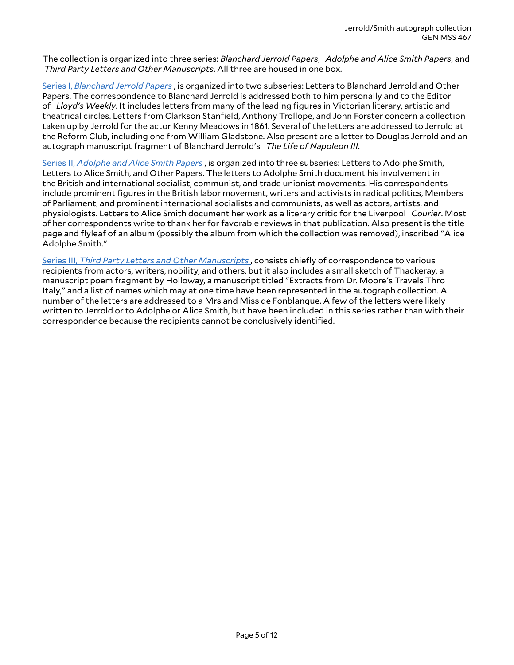The collection is organized into three series: *Blanchard Jerrold Papers*, *Adolphe and Alice Smith Papers*, and *Third Party Letters and Other Manuscripts*. All three are housed in one box.

Series I, *[Blanchard](#page-5-1) Jerrold Papers* , is organized into two subseries: Letters to Blanchard Jerrold and Other Papers. The correspondence to Blanchard Jerrold is addressed both to him personally and to the Editor of *Lloyd's Weekly*. It includes letters from many of the leading figures in Victorian literary, artistic and theatrical circles. Letters from Clarkson Stanfield, Anthony Trollope, and John Forster concern a collection taken up by Jerrold for the actor Kenny Meadows in 1861. Several of the letters are addressed to Jerrold at the Reform Club, including one from William Gladstone. Also present are a letter to Douglas Jerrold and an autograph manuscript fragment of Blanchard Jerrold's *The Life of Napoleon III*.

[Series II,](#page-7-0) *Adolphe and Alice Smith Papers* , is organized into three subseries: Letters to Adolphe Smith, Letters to Alice Smith, and Other Papers. The letters to Adolphe Smith document his involvement in the British and international socialist, communist, and trade unionist movements. His correspondents include prominent figures in the British labor movement, writers and activists in radical politics, Members of Parliament, and prominent international socialists and communists, as well as actors, artists, and physiologists. Letters to Alice Smith document her work as a literary critic for the Liverpool *Courier*. Most of her correspondents write to thank her for favorable reviews in that publication. Also present is the title page and flyleaf of an album (possibly the album from which the collection was removed), inscribed "Alice Adolphe Smith."

Series III, *Third Party Letters and Other [Manuscripts](#page-9-0)* , consists chiefly of correspondence to various recipients from actors, writers, nobility, and others, but it also includes a small sketch of Thackeray, a manuscript poem fragment by Holloway, a manuscript titled "Extracts from Dr. Moore's Travels Thro Italy," and a list of names which may at one time have been represented in the autograph collection. A number of the letters are addressed to a Mrs and Miss de Fonblanque. A few of the letters were likely written to Jerrold or to Adolphe or Alice Smith, but have been included in this series rather than with their correspondence because the recipients cannot be conclusively identified.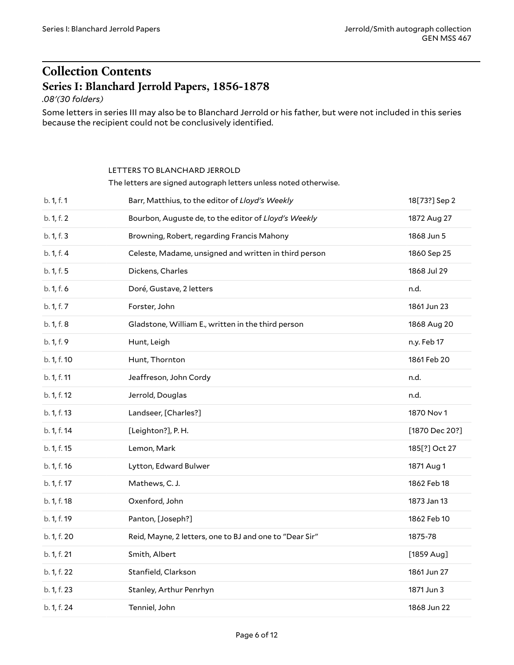# <span id="page-5-0"></span>**Collection Contents Series I: Blanchard Jerrold Papers, 1856-1878**

<span id="page-5-1"></span>*.08'(30 folders)*

Some letters in series III may also be to Blanchard Jerrold or his father, but were not included in this series because the recipient could not be conclusively identified.

#### <span id="page-5-2"></span>LETTERS TO BLANCHARD JERROLD

The letters are signed autograph letters unless noted otherwise.

| b. 1, f. 2<br>Bourbon, Auguste de, to the editor of Lloyd's Weekly<br>1872 Aug 27<br>b. 1, f. 3<br>Browning, Robert, regarding Francis Mahony<br>1868 Jun 5<br>b. 1, f. 4<br>Celeste, Madame, unsigned and written in third person<br>1860 Sep 25<br>b. 1, f. 5<br>Dickens, Charles<br>1868 Jul 29<br>b. 1, f. 6<br>Doré, Gustave, 2 letters<br>n.d.<br>1861 Jun 23<br>b. 1, f. 7<br>Forster, John<br>b. 1, f. 8<br>Gladstone, William E., written in the third person<br>1868 Aug 20<br>b. 1, f. 9<br>n.y. Feb 17<br>Hunt, Leigh<br>b. 1, f. 10<br>1861 Feb 20<br>Hunt, Thornton<br>b. 1, f. 11<br>Jeaffreson, John Cordy<br>n.d.<br>b. 1, f. 12<br>Jerrold, Douglas<br>n.d.<br>b. 1, f. 13<br>1870 Nov 1<br>Landseer, [Charles?]<br>b. 1, f. 14<br>[Leighton?], P.H.<br>b. 1, f. 15<br>Lemon, Mark<br>185[?] Oct 27<br>b. 1, f. 16<br>Lytton, Edward Bulwer<br>1871 Aug 1<br>b. 1, f. 17<br>Mathews, C. J.<br>1862 Feb 18<br>b. 1, f. 18<br>1873 Jan 13<br>Oxenford, John<br>b. 1, f. 19<br>Panton, [Joseph?]<br>1862 Feb 10<br>b. 1, f. 20<br>Reid, Mayne, 2 letters, one to BJ and one to "Dear Sir"<br>1875-78<br>b. 1, f. 21<br>Smith, Albert<br>$[1859$ Aug]<br>b. 1, f. 22<br>Stanfield, Clarkson<br>1861 Jun 27<br>b. 1, f. 23<br>1871 Jun 3<br>Stanley, Arthur Penrhyn<br>b. 1, f. 24<br>Tenniel, John<br>1868 Jun 22 | b. 1, f. 1 | Barr, Matthius, to the editor of Lloyd's Weekly | 18[73?] Sep 2  |
|---------------------------------------------------------------------------------------------------------------------------------------------------------------------------------------------------------------------------------------------------------------------------------------------------------------------------------------------------------------------------------------------------------------------------------------------------------------------------------------------------------------------------------------------------------------------------------------------------------------------------------------------------------------------------------------------------------------------------------------------------------------------------------------------------------------------------------------------------------------------------------------------------------------------------------------------------------------------------------------------------------------------------------------------------------------------------------------------------------------------------------------------------------------------------------------------------------------------------------------------------------------------------------------------------------------------------------|------------|-------------------------------------------------|----------------|
|                                                                                                                                                                                                                                                                                                                                                                                                                                                                                                                                                                                                                                                                                                                                                                                                                                                                                                                                                                                                                                                                                                                                                                                                                                                                                                                                 |            |                                                 |                |
|                                                                                                                                                                                                                                                                                                                                                                                                                                                                                                                                                                                                                                                                                                                                                                                                                                                                                                                                                                                                                                                                                                                                                                                                                                                                                                                                 |            |                                                 |                |
|                                                                                                                                                                                                                                                                                                                                                                                                                                                                                                                                                                                                                                                                                                                                                                                                                                                                                                                                                                                                                                                                                                                                                                                                                                                                                                                                 |            |                                                 |                |
|                                                                                                                                                                                                                                                                                                                                                                                                                                                                                                                                                                                                                                                                                                                                                                                                                                                                                                                                                                                                                                                                                                                                                                                                                                                                                                                                 |            |                                                 |                |
|                                                                                                                                                                                                                                                                                                                                                                                                                                                                                                                                                                                                                                                                                                                                                                                                                                                                                                                                                                                                                                                                                                                                                                                                                                                                                                                                 |            |                                                 |                |
|                                                                                                                                                                                                                                                                                                                                                                                                                                                                                                                                                                                                                                                                                                                                                                                                                                                                                                                                                                                                                                                                                                                                                                                                                                                                                                                                 |            |                                                 |                |
|                                                                                                                                                                                                                                                                                                                                                                                                                                                                                                                                                                                                                                                                                                                                                                                                                                                                                                                                                                                                                                                                                                                                                                                                                                                                                                                                 |            |                                                 |                |
|                                                                                                                                                                                                                                                                                                                                                                                                                                                                                                                                                                                                                                                                                                                                                                                                                                                                                                                                                                                                                                                                                                                                                                                                                                                                                                                                 |            |                                                 |                |
|                                                                                                                                                                                                                                                                                                                                                                                                                                                                                                                                                                                                                                                                                                                                                                                                                                                                                                                                                                                                                                                                                                                                                                                                                                                                                                                                 |            |                                                 |                |
|                                                                                                                                                                                                                                                                                                                                                                                                                                                                                                                                                                                                                                                                                                                                                                                                                                                                                                                                                                                                                                                                                                                                                                                                                                                                                                                                 |            |                                                 |                |
|                                                                                                                                                                                                                                                                                                                                                                                                                                                                                                                                                                                                                                                                                                                                                                                                                                                                                                                                                                                                                                                                                                                                                                                                                                                                                                                                 |            |                                                 |                |
|                                                                                                                                                                                                                                                                                                                                                                                                                                                                                                                                                                                                                                                                                                                                                                                                                                                                                                                                                                                                                                                                                                                                                                                                                                                                                                                                 |            |                                                 |                |
|                                                                                                                                                                                                                                                                                                                                                                                                                                                                                                                                                                                                                                                                                                                                                                                                                                                                                                                                                                                                                                                                                                                                                                                                                                                                                                                                 |            |                                                 | [1870 Dec 20?] |
|                                                                                                                                                                                                                                                                                                                                                                                                                                                                                                                                                                                                                                                                                                                                                                                                                                                                                                                                                                                                                                                                                                                                                                                                                                                                                                                                 |            |                                                 |                |
|                                                                                                                                                                                                                                                                                                                                                                                                                                                                                                                                                                                                                                                                                                                                                                                                                                                                                                                                                                                                                                                                                                                                                                                                                                                                                                                                 |            |                                                 |                |
|                                                                                                                                                                                                                                                                                                                                                                                                                                                                                                                                                                                                                                                                                                                                                                                                                                                                                                                                                                                                                                                                                                                                                                                                                                                                                                                                 |            |                                                 |                |
|                                                                                                                                                                                                                                                                                                                                                                                                                                                                                                                                                                                                                                                                                                                                                                                                                                                                                                                                                                                                                                                                                                                                                                                                                                                                                                                                 |            |                                                 |                |
|                                                                                                                                                                                                                                                                                                                                                                                                                                                                                                                                                                                                                                                                                                                                                                                                                                                                                                                                                                                                                                                                                                                                                                                                                                                                                                                                 |            |                                                 |                |
|                                                                                                                                                                                                                                                                                                                                                                                                                                                                                                                                                                                                                                                                                                                                                                                                                                                                                                                                                                                                                                                                                                                                                                                                                                                                                                                                 |            |                                                 |                |
|                                                                                                                                                                                                                                                                                                                                                                                                                                                                                                                                                                                                                                                                                                                                                                                                                                                                                                                                                                                                                                                                                                                                                                                                                                                                                                                                 |            |                                                 |                |
|                                                                                                                                                                                                                                                                                                                                                                                                                                                                                                                                                                                                                                                                                                                                                                                                                                                                                                                                                                                                                                                                                                                                                                                                                                                                                                                                 |            |                                                 |                |
|                                                                                                                                                                                                                                                                                                                                                                                                                                                                                                                                                                                                                                                                                                                                                                                                                                                                                                                                                                                                                                                                                                                                                                                                                                                                                                                                 |            |                                                 |                |
|                                                                                                                                                                                                                                                                                                                                                                                                                                                                                                                                                                                                                                                                                                                                                                                                                                                                                                                                                                                                                                                                                                                                                                                                                                                                                                                                 |            |                                                 |                |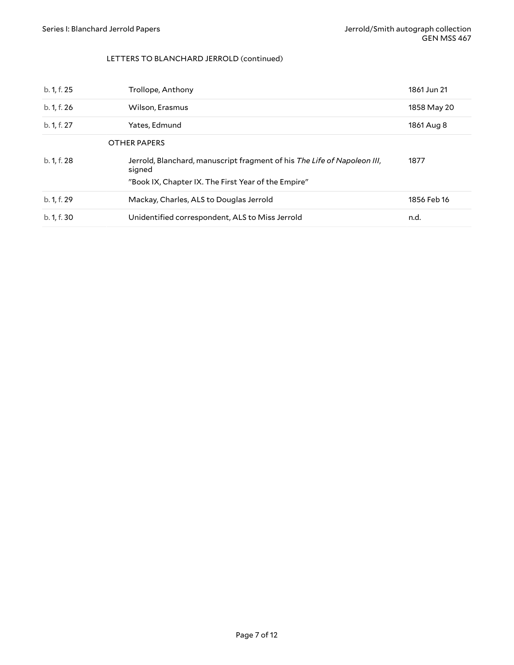#### <span id="page-6-0"></span>LETTERS TO BLANCHARD JERROLD (continued)

| b. 1, f. 25 | Trollope, Anthony                                                                  | 1861 Jun 21 |
|-------------|------------------------------------------------------------------------------------|-------------|
| b. 1, f. 26 | Wilson, Erasmus                                                                    | 1858 May 20 |
| b. 1, f. 27 | Yates, Edmund                                                                      | 1861 Aug 8  |
|             | <b>OTHER PAPERS</b>                                                                |             |
| b. 1, f. 28 | Jerrold, Blanchard, manuscript fragment of his The Life of Napoleon III,<br>signed | 1877        |
|             | "Book IX, Chapter IX. The First Year of the Empire"                                |             |
| b. 1, f. 29 | Mackay, Charles, ALS to Douglas Jerrold                                            | 1856 Feb 16 |
| b. 1, f. 30 | Unidentified correspondent, ALS to Miss Jerrold                                    | n.d.        |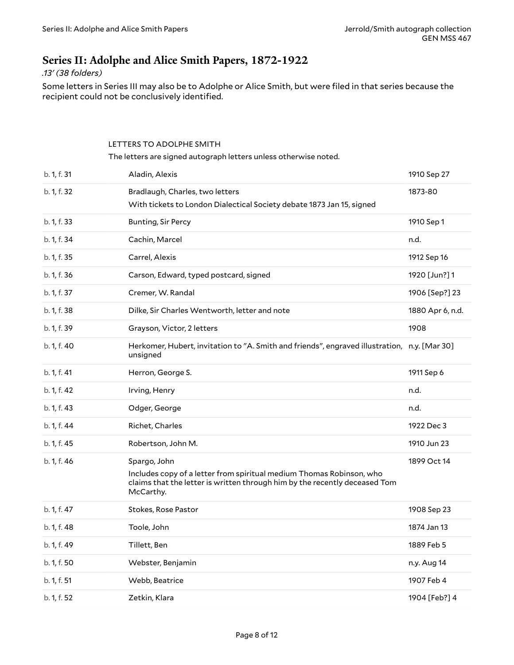### <span id="page-7-0"></span>**Series II: Adolphe and Alice Smith Papers, 1872-1922**

#### *.13' (38 folders)*

Some letters in Series III may also be to Adolphe or Alice Smith, but were filed in that series because the recipient could not be conclusively identified.

# <span id="page-7-1"></span>LETTERS TO ADOLPHE SMITH The letters are signed autograph letters unless otherwise noted. b. 1, f. 31 Aladin, Alexis 1910 Sep 27 b. 1, f. 32 Bradlaugh, Charles, two letters With tickets to London Dialectical Society debate 1873 Jan 15, signed 1873-80 b. 1, f. 33 Bunting, Sir Percy **1910 Sep 1 Bunting, Sir Percy** b. 1, f. 34 Cachin, Marcel 2008 Cachin, Marcel 2008 Cachine 2008 Cachine 2008 Cachine 2008 Cachine 2008 Cachine 2008 Cachine 2008 Cachine 2008 Cachine 2008 Cachine 2008 Cachine 2008 Cachine 2008 Cachine 2008 Cachine 2008 C b. 1, f. 35 Carrel, Alexis 1912 Sep 16 b. 1, f. 36 Carson, Edward, typed postcard, signed 1920 [Jun?] 1 b. 1, f. 37 Cremer, W. Randal 1906 [Sep?] 23 b. 1, f. 38 Dilke, Sir Charles Wentworth, letter and note 1880 Apr 6, n.d. b. 1, f. 39 Grayson, Victor, 2 letters 1908 b. 1, f. 40 Herkomer, Hubert, invitation to "A. Smith and friends", engraved illustration, n.y. [Mar 30] unsigned b. 1, f. 41 **Herron, George S.** 1911 Sep 6 b. 1, f. 42 Irving, Henry n.d. b. 1, f. 43 Odger, George n.d. and the control of the control of the control of the control of the control of the control of the control of the control of the control of the control of the control of the control of the con b. 1, f. 44 Richet, Charles 1922 Dec 3 b. 1, f. 45 Robertson, John M. 1910 Jun 23 b. 1, f. 46 Spargo, John Includes copy of a letter from spiritual medium Thomas Robinson, who claims that the letter is written through him by the recently deceased Tom McCarthy. 1899 Oct 14 b. 1, f. 47 Stokes, Rose Pastor 1908 Sep 23 b. 1, f. 48 Toole, John 1874 Jan 13 b. 1, f. 49 Tillett, Ben 1889 Feb 5 b. 1, f. 50 **South American Strutter, Benjamin** and the set of the set of the set of the set of the set of the set of the set of the set of the set of the set of the set of the set of the set of the set of the set of the s b. 1, f. 51 Webb, Beatrice 1907 Feb 4 b. 1, f. 52 Zetkin, Klara 1904 [Feb?] 4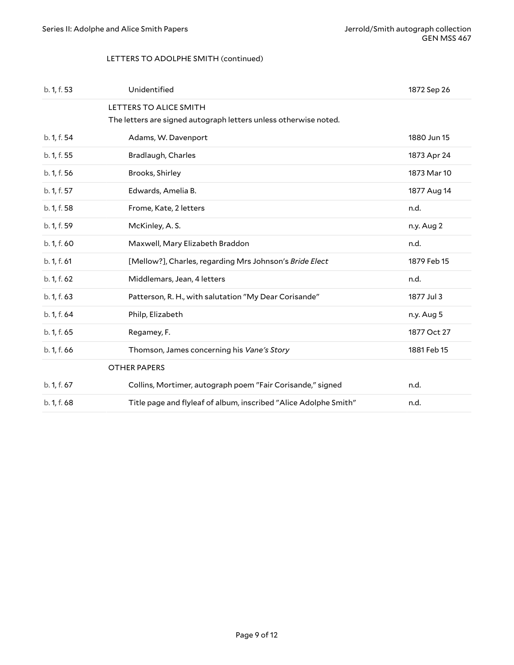#### <span id="page-8-0"></span>LETTERS TO ADOLPHE SMITH (continued)

<span id="page-8-1"></span>

| b. 1, f. 53 | Unidentified                                                     | 1872 Sep 26 |
|-------------|------------------------------------------------------------------|-------------|
|             | LETTERS TO ALICE SMITH                                           |             |
|             | The letters are signed autograph letters unless otherwise noted. |             |
| b. 1, f. 54 | Adams, W. Davenport                                              | 1880 Jun 15 |
| b. 1, f. 55 | Bradlaugh, Charles                                               | 1873 Apr 24 |
| b. 1, f. 56 | Brooks, Shirley                                                  | 1873 Mar 10 |
| b. 1, f. 57 | Edwards, Amelia B.                                               | 1877 Aug 14 |
| b. 1, f. 58 | Frome, Kate, 2 letters                                           | n.d.        |
| b. 1, f. 59 | McKinley, A.S.                                                   | n.y. Aug 2  |
| b. 1, f. 60 | Maxwell, Mary Elizabeth Braddon                                  | n.d.        |
| b. 1, f. 61 | [Mellow?], Charles, regarding Mrs Johnson's Bride Elect          | 1879 Feb 15 |
| b. 1, f. 62 | Middlemars, Jean, 4 letters                                      | n.d.        |
| b. 1, f. 63 | Patterson, R. H., with salutation "My Dear Corisande"            | 1877 Jul 3  |
| b. 1, f. 64 | Philp, Elizabeth                                                 | n.y. Aug 5  |
| b. 1, f. 65 | Regamey, F.                                                      | 1877 Oct 27 |
| b. 1, f. 66 | Thomson, James concerning his Vane's Story                       | 1881 Feb 15 |
|             | <b>OTHER PAPERS</b>                                              |             |
| b. 1, f. 67 | Collins, Mortimer, autograph poem "Fair Corisande," signed       | n.d.        |
| b. 1, f. 68 | Title page and flyleaf of album, inscribed "Alice Adolphe Smith" | n.d.        |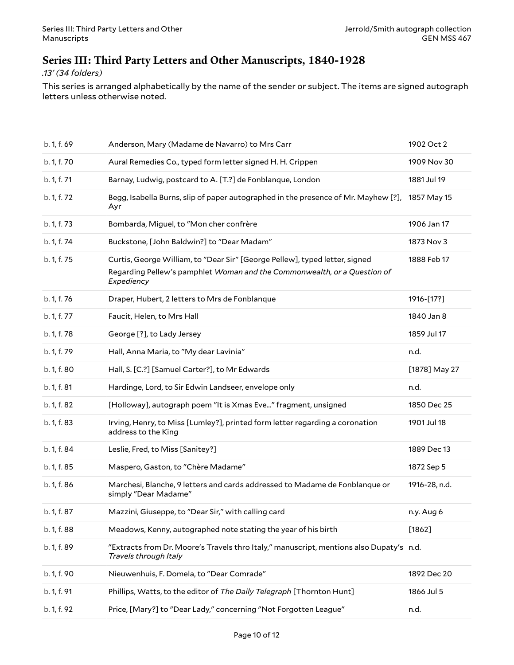### <span id="page-9-0"></span>**Series III: Third Party Letters and Other Manuscripts, 1840-1928**

#### *.13' (34 folders)*

This series is arranged alphabetically by the name of the sender or subject. The items are signed autograph letters unless otherwise noted.

| b. 1, f. 69 | Anderson, Mary (Madame de Navarro) to Mrs Carr                                                                                                                        | 1902 Oct 2    |
|-------------|-----------------------------------------------------------------------------------------------------------------------------------------------------------------------|---------------|
| b. 1, f. 70 | Aural Remedies Co., typed form letter signed H. H. Crippen                                                                                                            | 1909 Nov 30   |
| b. 1, f. 71 | Barnay, Ludwig, postcard to A. [T.?] de Fonblanque, London                                                                                                            | 1881 Jul 19   |
| b. 1, f. 72 | Begg, Isabella Burns, slip of paper autographed in the presence of Mr. Mayhew [?],<br>Ayr                                                                             | 1857 May 15   |
| b. 1, f. 73 | Bombarda, Miguel, to "Mon cher confrère                                                                                                                               | 1906 Jan 17   |
| b. 1, f. 74 | Buckstone, [John Baldwin?] to "Dear Madam"                                                                                                                            | 1873 Nov 3    |
| b. 1, f. 75 | Curtis, George William, to "Dear Sir" [George Pellew], typed letter, signed<br>Regarding Pellew's pamphlet Woman and the Commonwealth, or a Question of<br>Expediency | 1888 Feb 17   |
| b. 1, f. 76 | Draper, Hubert, 2 letters to Mrs de Fonblanque                                                                                                                        | 1916-[17?]    |
| b. 1, f. 77 | Faucit, Helen, to Mrs Hall                                                                                                                                            | 1840 Jan 8    |
| b. 1, f. 78 | George [?], to Lady Jersey                                                                                                                                            | 1859 Jul 17   |
| b. 1, f. 79 | Hall, Anna Maria, to "My dear Lavinia"                                                                                                                                | n.d.          |
| b. 1, f. 80 | Hall, S. [C.?] [Samuel Carter?], to Mr Edwards                                                                                                                        | [1878] May 27 |
| b. 1, f. 81 | Hardinge, Lord, to Sir Edwin Landseer, envelope only                                                                                                                  | n.d.          |
| b. 1, f. 82 | [Holloway], autograph poem "It is Xmas Eve" fragment, unsigned                                                                                                        | 1850 Dec 25   |
| b. 1, f. 83 | Irving, Henry, to Miss [Lumley?], printed form letter regarding a coronation                                                                                          |               |
|             | address to the King                                                                                                                                                   | 1901 Jul 18   |
| b. 1, f. 84 | Leslie, Fred, to Miss [Sanitey?]                                                                                                                                      | 1889 Dec 13   |
| b. 1, f. 85 | Maspero, Gaston, to "Chère Madame"                                                                                                                                    | 1872 Sep 5    |
| b. 1, f. 86 | Marchesi, Blanche, 9 letters and cards addressed to Madame de Fonblanque or<br>simply "Dear Madame"                                                                   | 1916-28, n.d. |
| b. 1, f. 87 | Mazzini, Giuseppe, to "Dear Sir," with calling card                                                                                                                   | n.y. Aug 6    |
| b. 1, f. 88 | Meadows, Kenny, autographed note stating the year of his birth                                                                                                        | $[1862]$      |
| b. 1, f. 89 | "Extracts from Dr. Moore's Travels thro Italy," manuscript, mentions also Dupaty's n.d.<br>Travels through Italy                                                      |               |
| b. 1, f. 90 | Nieuwenhuis, F. Domela, to "Dear Comrade"                                                                                                                             | 1892 Dec 20   |
| b. 1, f. 91 | Phillips, Watts, to the editor of The Daily Telegraph [Thornton Hunt]                                                                                                 | 1866 Jul 5    |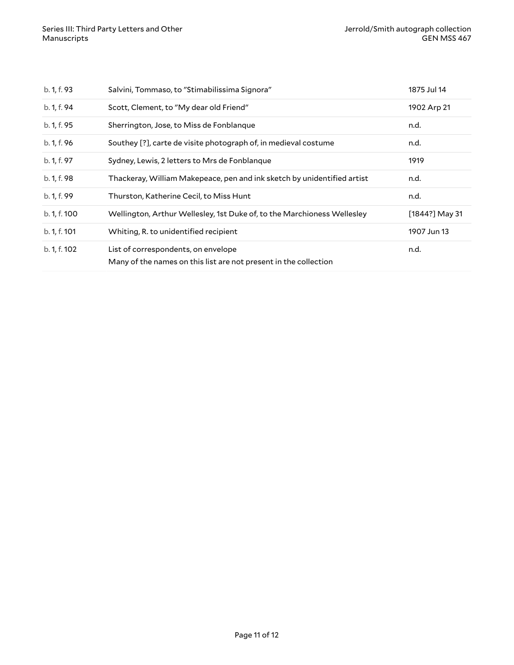| b. 1, f. 93  | Salvini, Tommaso, to "Stimabilissima Signora"                                                           | 1875 Jul 14      |
|--------------|---------------------------------------------------------------------------------------------------------|------------------|
| b. 1, f. 94  | Scott, Clement, to "My dear old Friend"                                                                 | 1902 Arp 21      |
| b. 1, f. 95  | Sherrington, Jose, to Miss de Fonblanque                                                                | n.d.             |
| b. 1, f. 96  | Southey [?], carte de visite photograph of, in medieval costume                                         | n.d.             |
| b. 1, f. 97  | Sydney, Lewis, 2 letters to Mrs de Fonblangue                                                           | 1919             |
| b. 1, f. 98  | Thackeray, William Makepeace, pen and ink sketch by unidentified artist                                 | n.d.             |
| b. 1, f. 99  | Thurston, Katherine Cecil, to Miss Hunt                                                                 | n.d.             |
| b. 1, f. 100 | Wellington, Arthur Wellesley, 1st Duke of, to the Marchioness Wellesley                                 | $[1844?]$ May 31 |
| b. 1, f. 101 | Whiting, R. to unidentified recipient                                                                   | 1907 Jun 13      |
| b. 1, f. 102 | List of correspondents, on envelope<br>Many of the names on this list are not present in the collection | n.d.             |